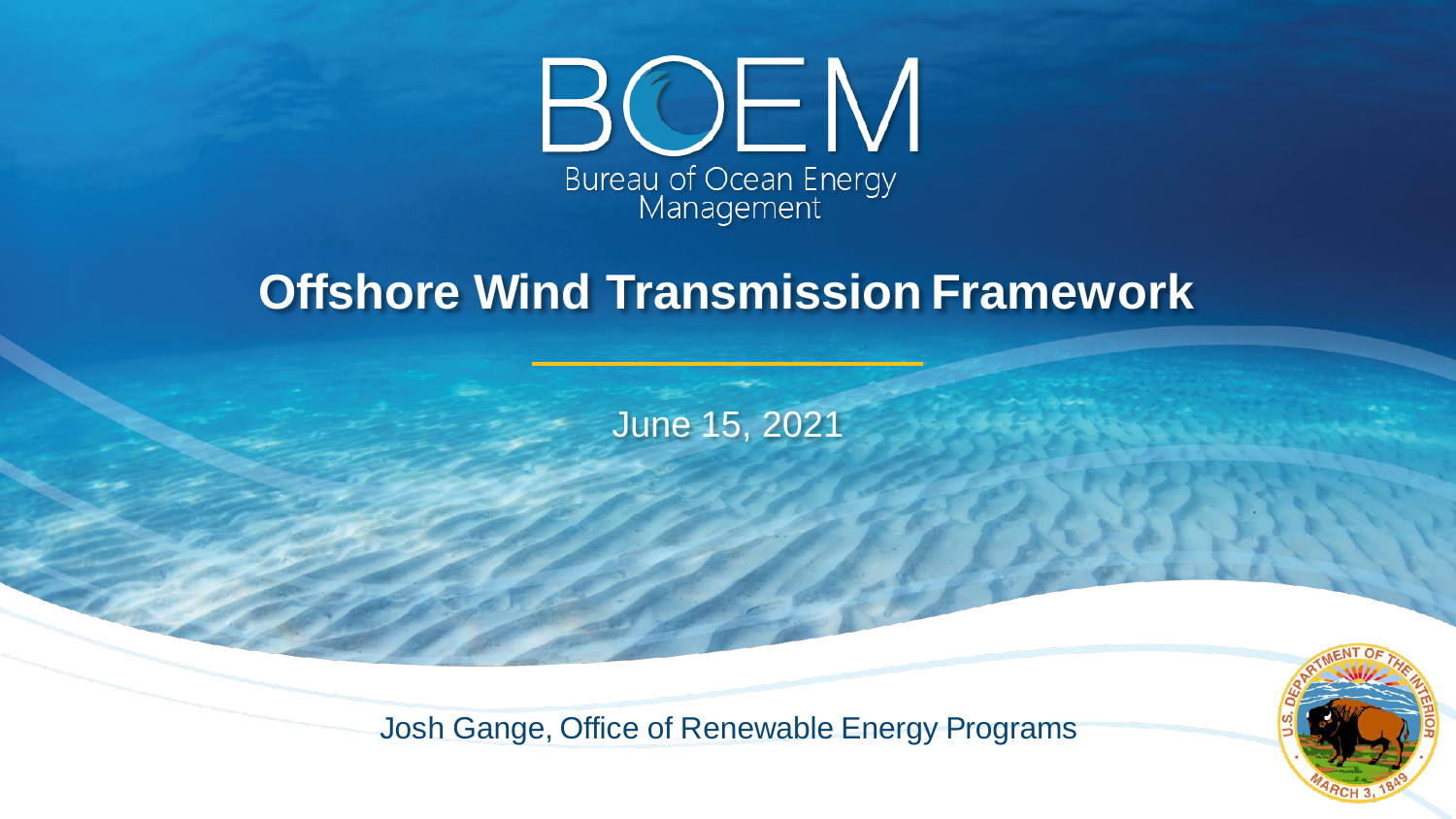

## **Offshore Wind Transmission Framework**

June 15, 2021



Josh Gange, Office of Renewable Energy Programs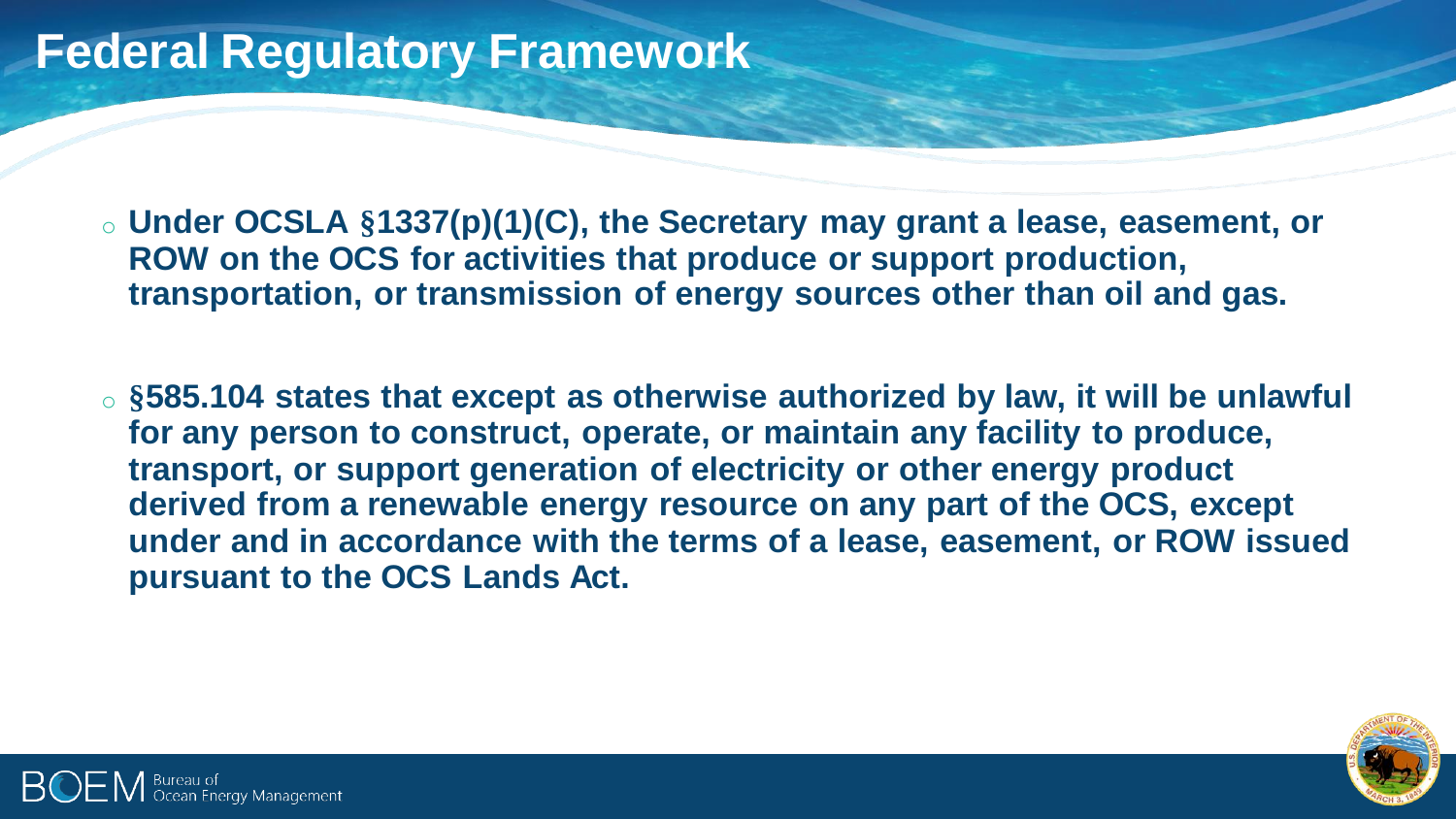## **Federal Regulatory Framework**

- o **Under OCSLA §1337(p)(1)(C), the Secretary may grant a lease, easement, or ROW on the OCS for activities that produce or support production, transportation, or transmission of energy sources other than oil and gas.**
- o **§585.104 states that except as otherwise authorized by law, it will be unlawful for any person to construct, operate, or maintain any facility to produce, transport, or support generation of electricity or other energy product derived from a renewable energy resource on any part of the OCS, except under and in accordance with the terms of a lease, easement, or ROW issued pursuant to the OCS Lands Act.**



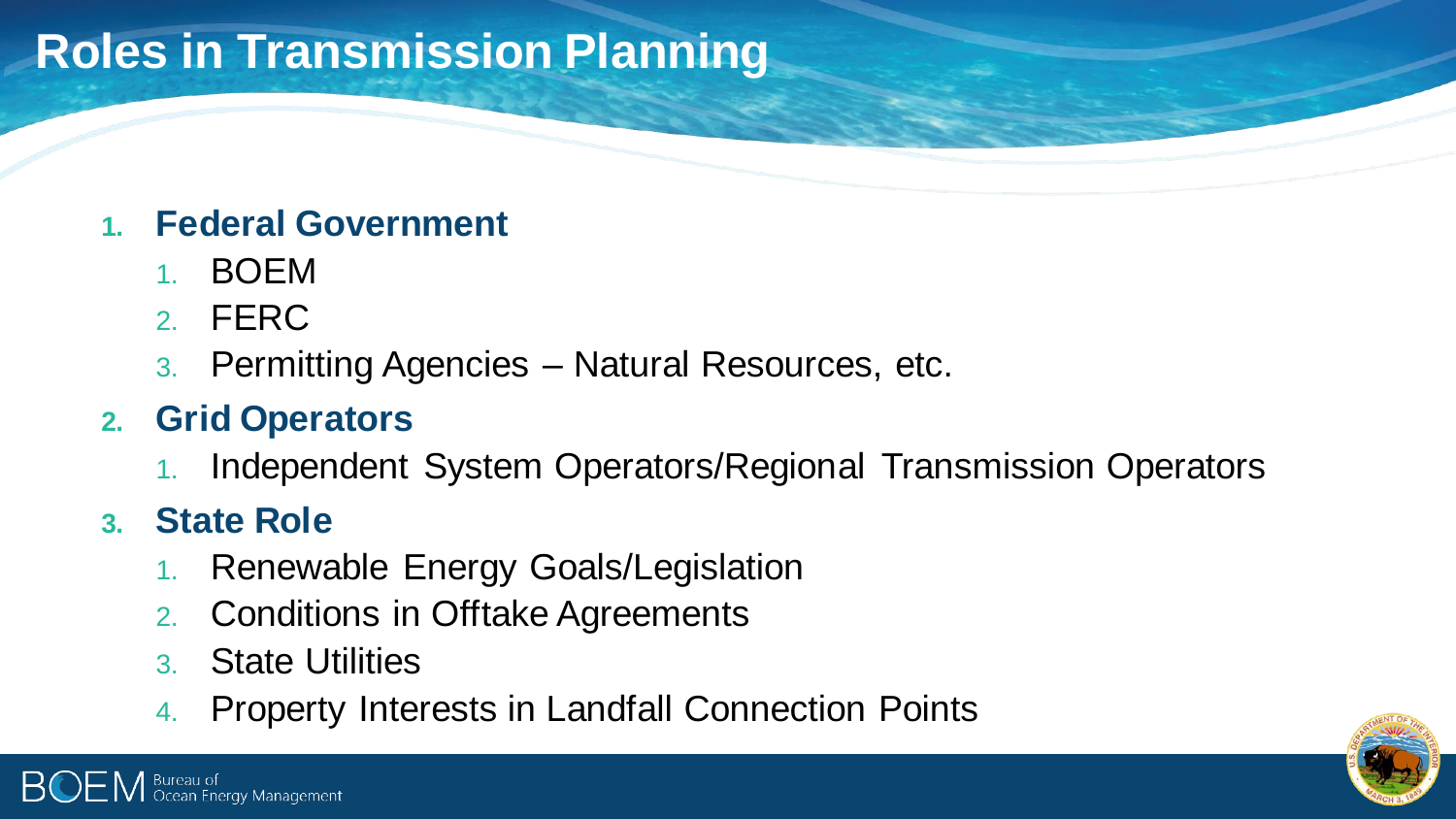# **Roles in Transmission Planning**

#### **1. Federal Government**

- 1. BOEM
- 2. FERC
- 3. Permitting Agencies Natural Resources, etc.

#### **2. Grid Operators**

Independent System Operators/Regional Transmission Operators

### **3. State Role**

Bureau of

- 1. Renewable Energy Goals/Legislation
- 2. Conditions in Offtake Agreements
- 3. State Utilities

areau or<br>cean Energy Management

4. Property Interests in Landfall Connection Points

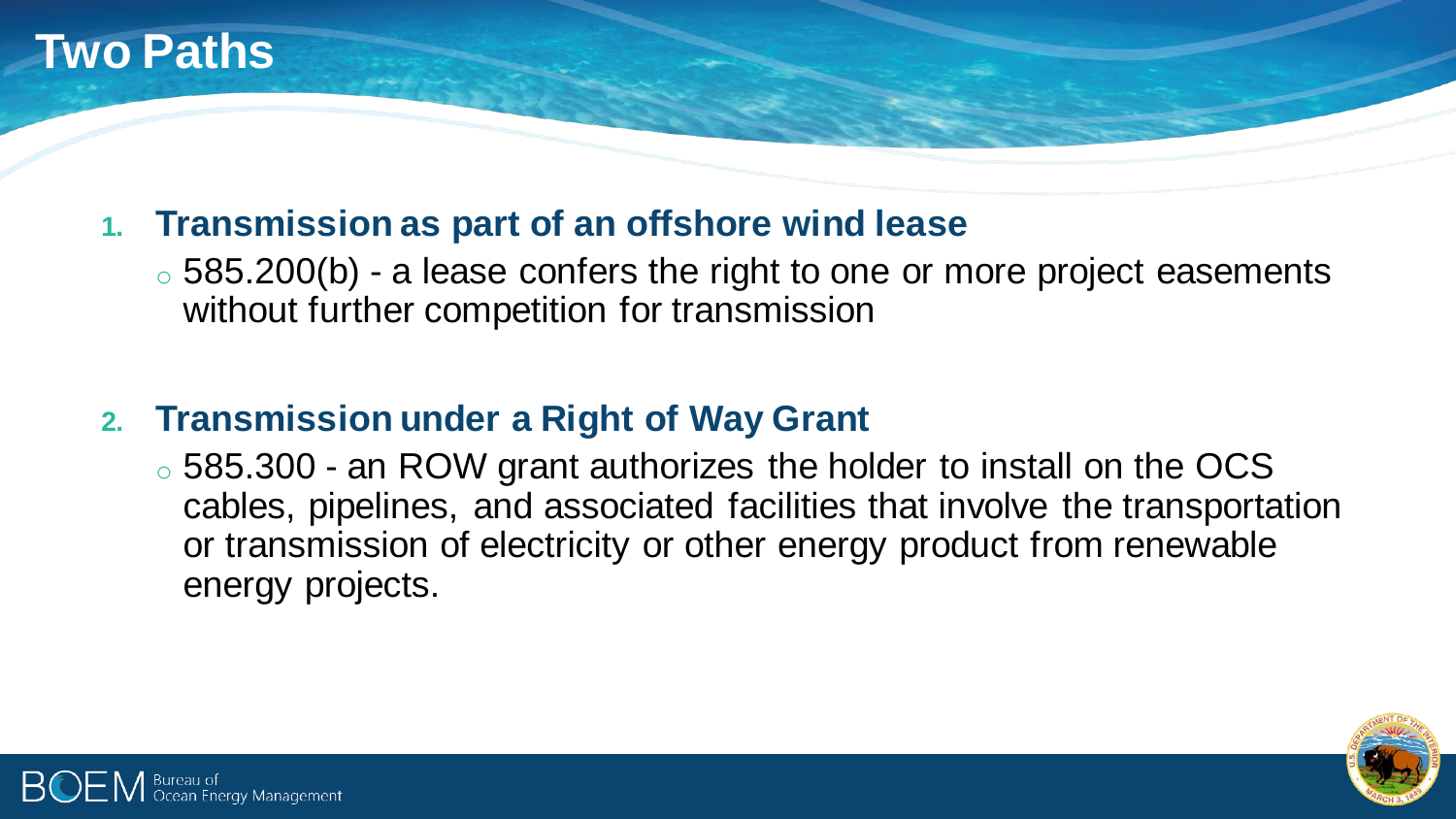

#### **1. Transmission as part of an offshore wind lease**

◦ 585.200(b) - a lease confers the right to one or more project easements without further competition for transmission

#### **2. Transmission under a Right of Way Grant**

o 585.300 - an ROW grant authorizes the holder to install on the OCS cables, pipelines, and associated facilities that involve the transportation or transmission of electricity or other energy product from renewable energy projects.



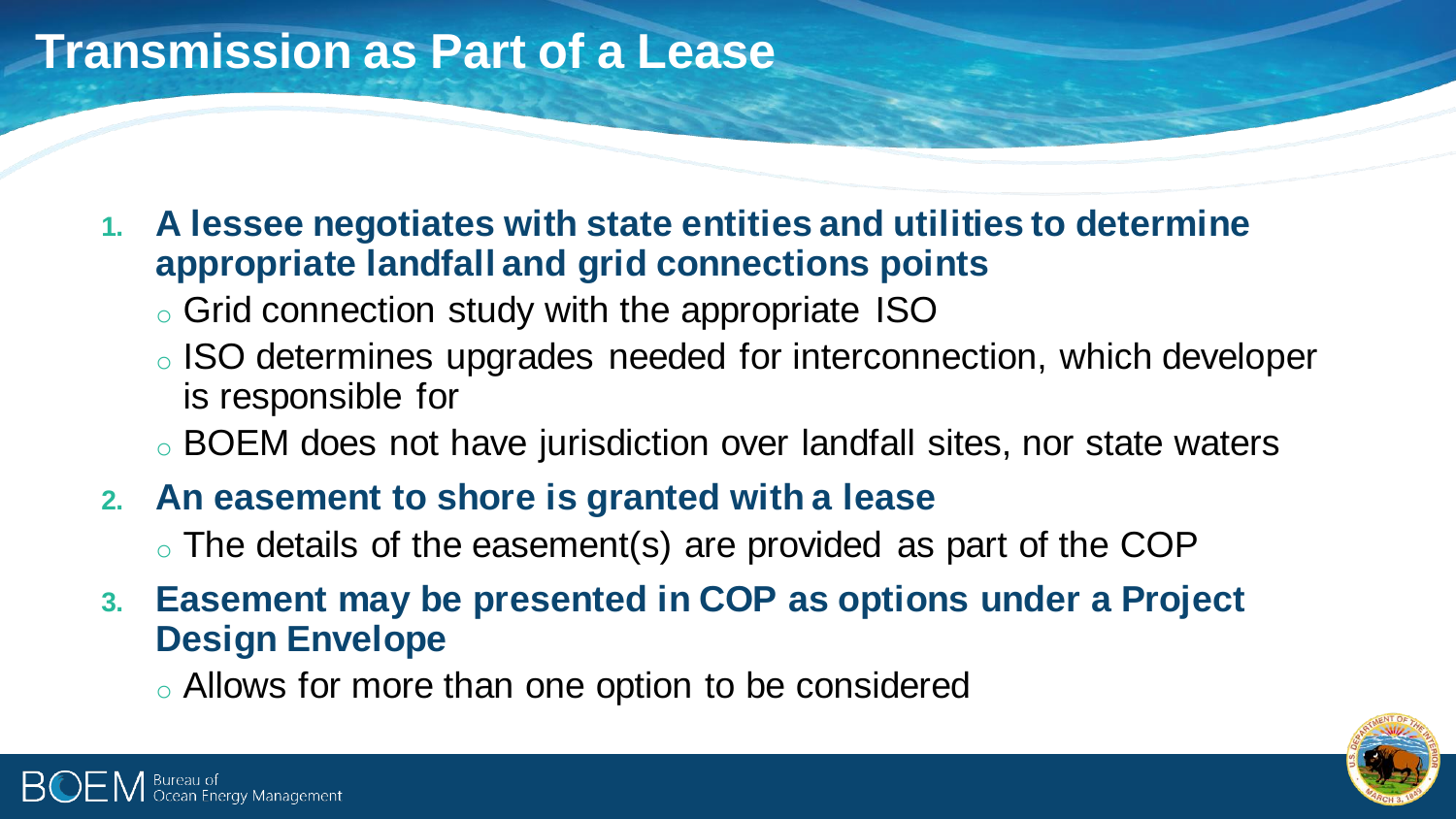### **Transmission as Part of a Lease**

.eau o.<br>:ean Energy Management

- **1. A lessee negotiates with state entities and utilities to determine appropriate landfall and grid connections points**
	- o Grid connection study with the appropriate ISO
	- o ISO determines upgrades needed for interconnection, which developer is responsible for
	- o BOEM does not have jurisdiction over landfall sites, nor state waters
- **2. An easement to shore is granted with a lease**
	- o The details of the easement(s) are provided as part of the COP
- **3. Easement may be presented in COP as options under a Project Design Envelope**

o Allows for more than one option to be considered

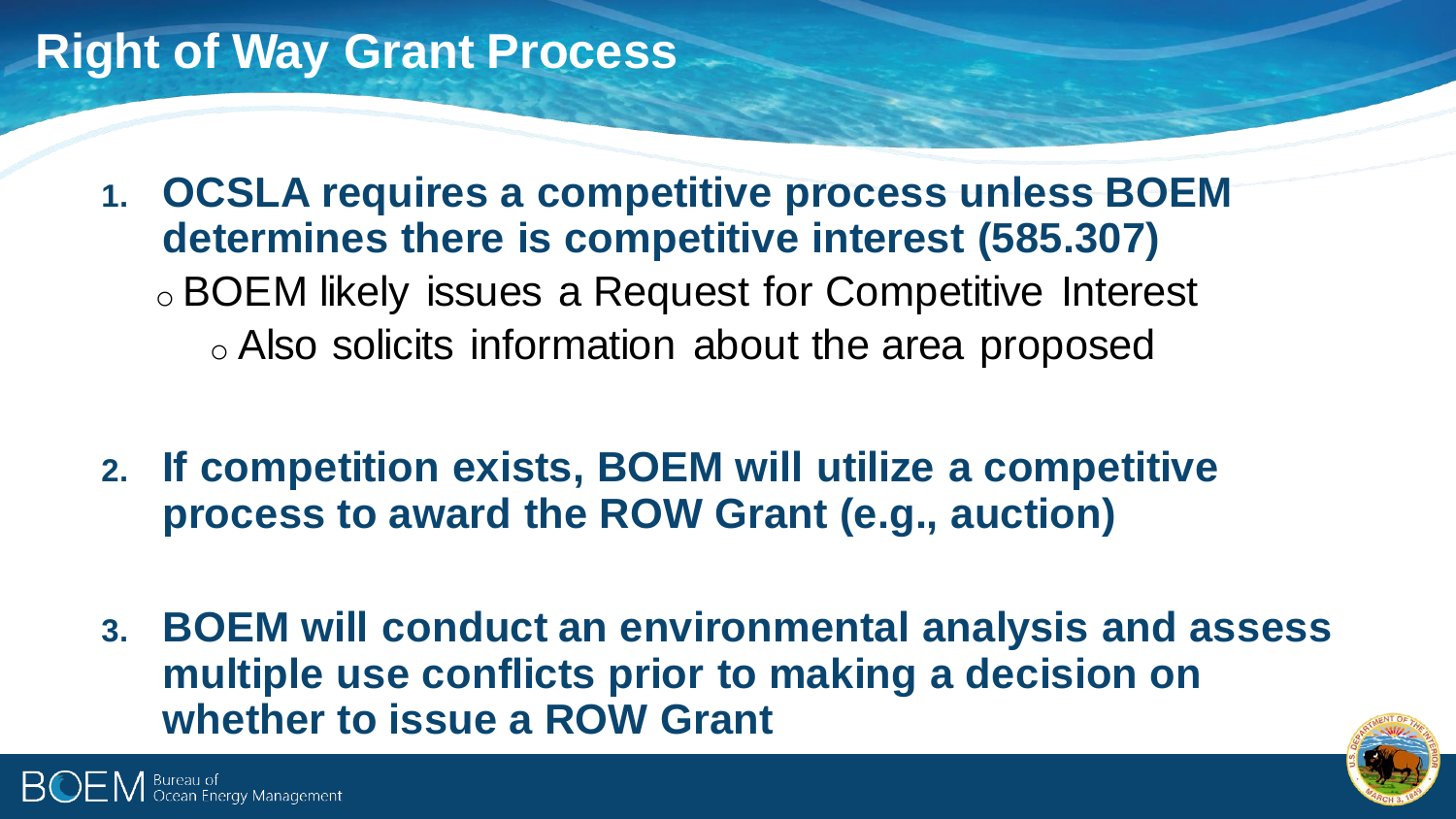## **Right of Way Grant Process**

- **1. OCSLA requires a competitive process unless BOEM determines there is competitive interest (585.307)** o BOEM likely issues a Request for Competitive Interest o Also solicits information about the area proposed
- **2. If competition exists, BOEM will utilize a competitive process to award the ROW Grant (e.g., auction)**
- **3. BOEM will conduct an environmental analysis and assess multiple use conflicts prior to making a decision on whether to issue a ROW Grant**

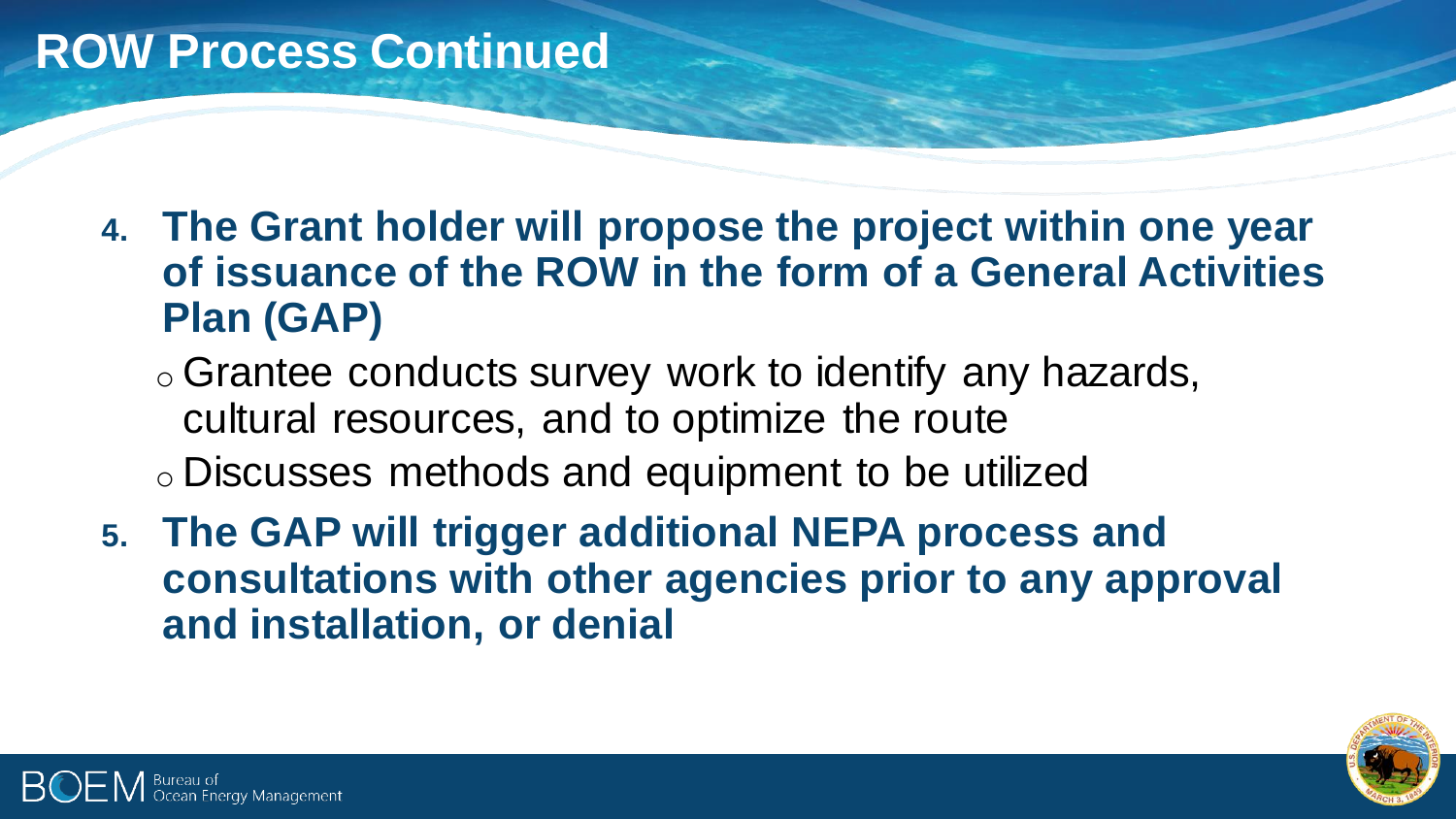## **ROW Process Continued**

**4. The Grant holder will propose the project within one year of issuance of the ROW in the form of a General Activities Plan (GAP)**

o Grantee conducts survey work to identify any hazards, cultural resources, and to optimize the route o Discusses methods and equipment to be utilized

**5. The GAP will trigger additional NEPA process and consultations with other agencies prior to any approval and installation, or denial**

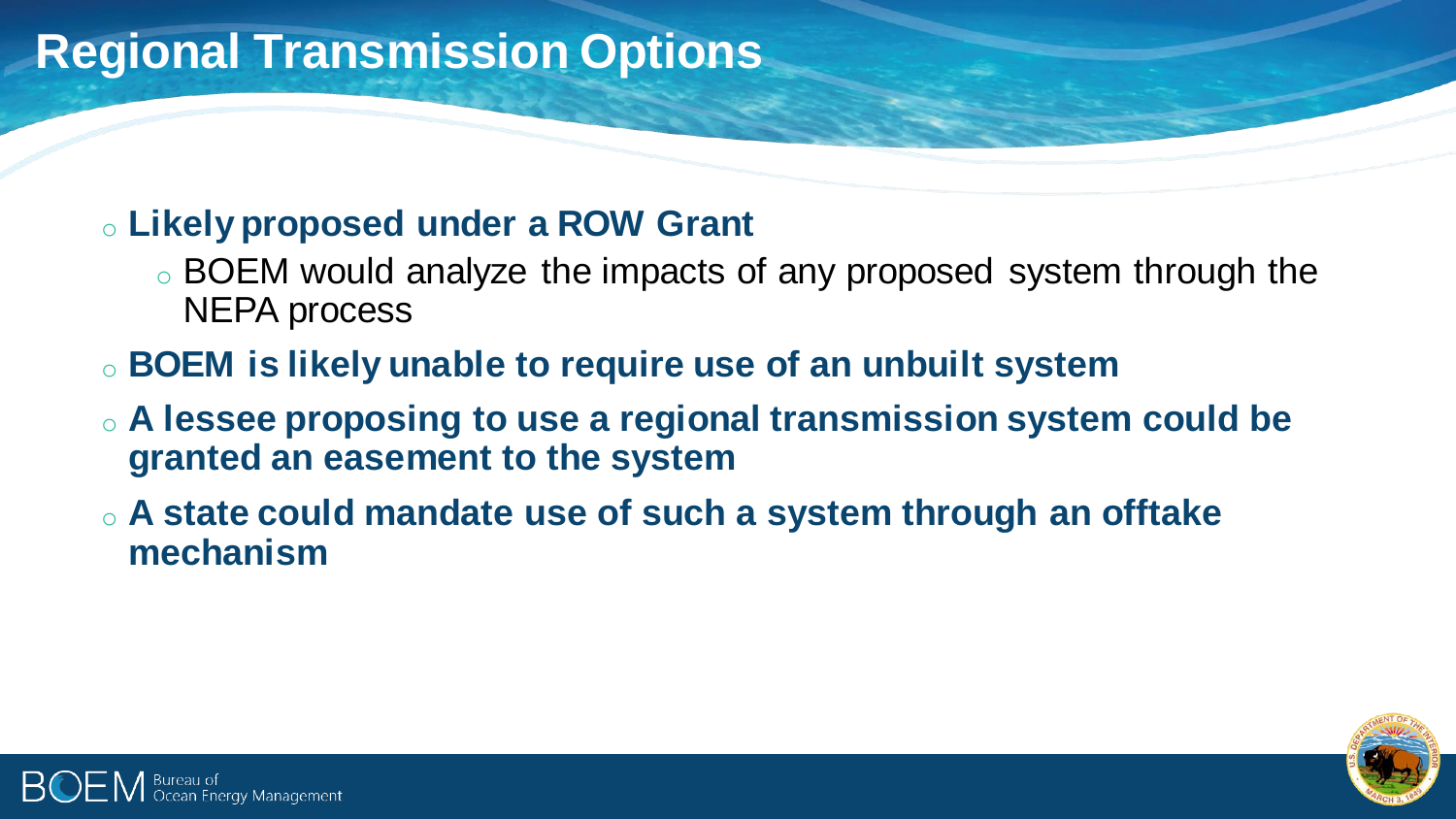# **Regional Transmission Options**

#### o **Likely proposed under a ROW Grant**

- o BOEM would analyze the impacts of any proposed system through the NEPA process
- o **BOEM is likely unable to require use of an unbuilt system**
- o **A lessee proposing to use a regional transmission system could be granted an easement to the system**
- o **A state could mandate use of such a system through an offtake mechanism**



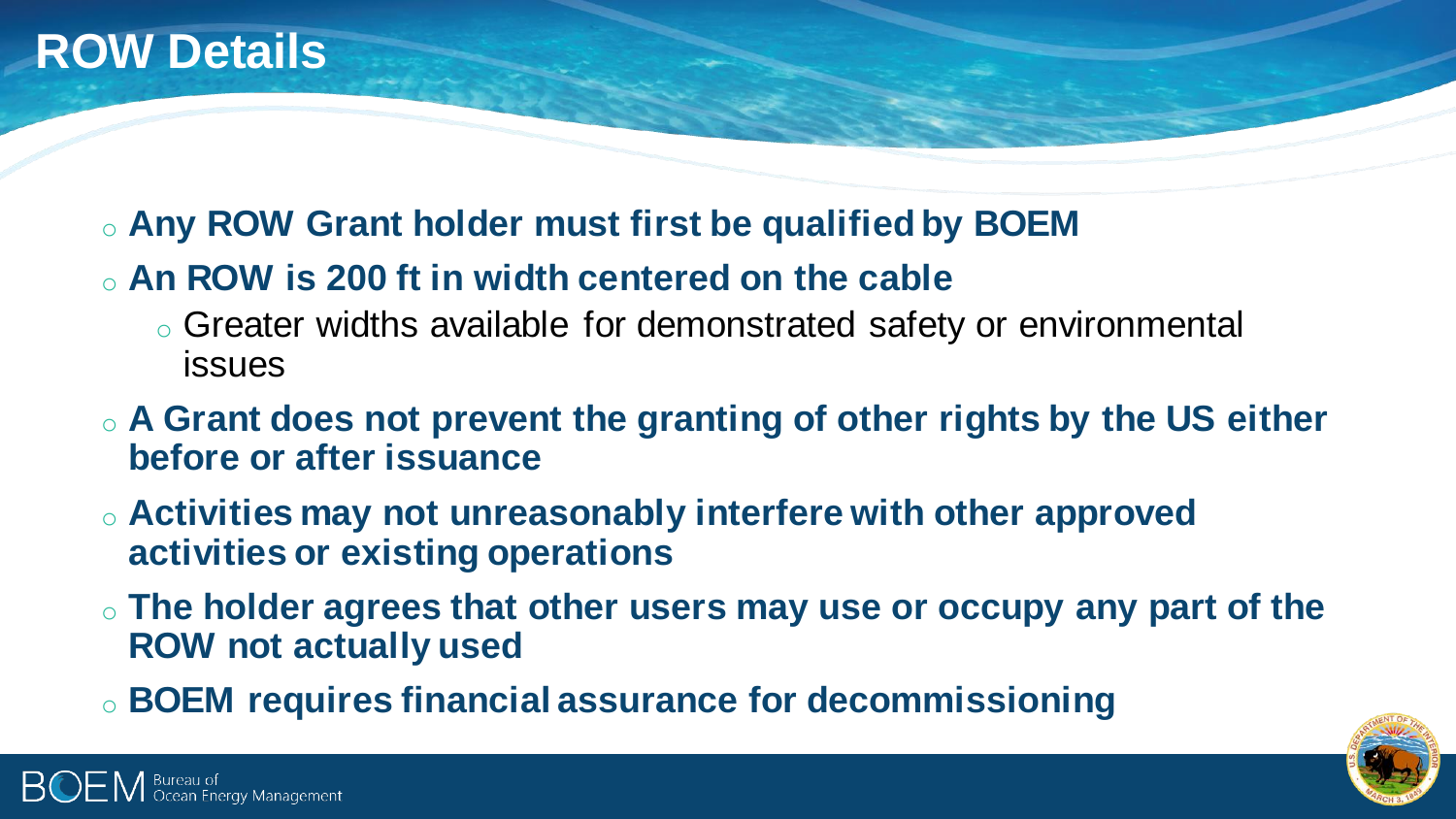Bureau of<br>Ocean Energy Management

### o **Any ROW Grant holder must first be qualified by BOEM**

### o **An ROW is 200 ft in width centered on the cable**

- o Greater widths available for demonstrated safety or environmental issues
- o **A Grant does not prevent the granting of other rights by the US either before or after issuance**
- o **Activities may not unreasonably interfere with other approved activities or existing operations**
- o **The holder agrees that other users may use or occupy any part of the ROW not actually used**
- o **BOEM requires financial assurance for decommissioning**